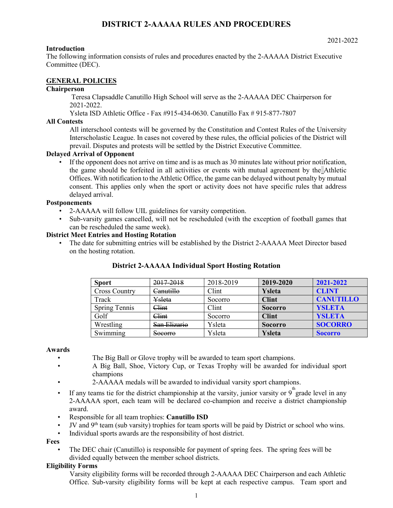### **Introduction**

The following information consists of rules and procedures enacted by the 2-AAAAA District Executive Committee (DEC).

### **GENERAL POLICIES**

## **Chairperson**

Teresa Clapsaddle Canutillo High School will serve as the 2-AAAAA DEC Chairperson for 2021-2022.

Ysleta ISD Athletic Office - Fax #915-434-0630. Canutillo Fax # 915-877-7807

### **All Contests**

All interschool contests will be governed by the Constitution and Contest Rules of the University Interscholastic League. In cases not covered by these rules, the official policies of the District will prevail. Disputes and protests will be settled by the District Executive Committee.

### **Delayed Arrival of Opponent**

• If the opponent does not arrive on time and is as much as 30 minutes late without prior notification, the game should be forfeited in all activities or events with mutual agreement by the Athletic Offices. With notification to the Athletic Office, the game can be delayed without penalty by mutual consent. This applies only when the sport or activity does not have specific rules that address delayed arrival.

### **Postponements**

- 2-AAAAA will follow UIL guidelines for varsity competition.
- Sub-varsity games cancelled, will not be rescheduled (with the exception of football games that can be rescheduled the same week).

### **District Meet Entries and Hosting Rotation**

• The date for submitting entries will be established by the District 2-AAAAA Meet Director based on the hosting rotation.

| <b>Sport</b>         | 2017-2018            | 2018-2019 | 2019-2020      | 2021-2022        |
|----------------------|----------------------|-----------|----------------|------------------|
| <b>Cross Country</b> | <del>Canutillo</del> | Clint     | Ysleta         | CLINT            |
| Track                | Ysleta               | Socorro   | <b>Clint</b>   | <b>CANUTILLO</b> |
| Spring Tennis        | <del>Clint</del>     | Clint     | <b>Socorro</b> | <b>YSLETA</b>    |
| Golf                 | <del>Clint</del>     | Socorro   | <b>Clint</b>   | <b>YSLETA</b>    |
| Wrestling            | San Elizario         | Ysleta    | <b>Socorro</b> | <b>SOCORRO</b>   |
| Swimming             | Socorro              | Ysleta    | <b>Ysleta</b>  | <b>Socorro</b>   |

### **District 2-AAAAA Individual Sport Hosting Rotation**

#### **Awards**

- The Big Ball or Glove trophy will be awarded to team sport champions.
- A Big Ball, Shoe, Victory Cup, or Texas Trophy will be awarded for individual sport champions
- 2-AAAAA medals will be awarded to individual varsity sport champions.
- If any teams tie for the district championship at the varsity, junior varsity or  $9^{\text{th}}$  grade level in any 2-AAAAA sport, each team will be declared co-champion and receive a district championship award.
- Responsible for all team trophies: **Canutillo ISD**
- JV and 9<sup>th</sup> team (sub varsity) trophies for team sports will be paid by District or school who wins.
- Individual sports awards are the responsibility of host district.

#### **Fees**

• The DEC chair (Canutillo) is responsible for payment of spring fees. The spring fees will be divided equally between the member school districts.

#### **Eligibility Forms**

Varsity eligibility forms will be recorded through 2-AAAAA DEC Chairperson and each Athletic Office. Sub-varsity eligibility forms will be kept at each respective campus. Team sport and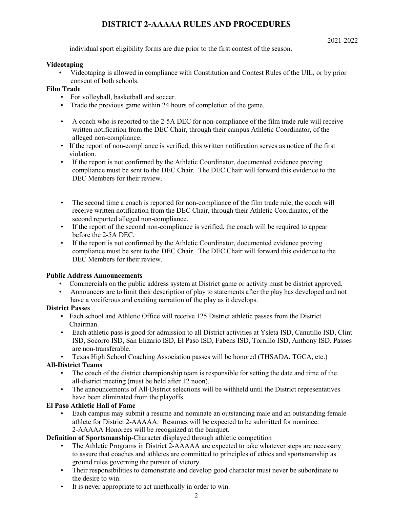individual sport eligibility forms are due prior to the first contest of the season.

### **Videotaping**

• Videotaping is allowed in compliance with Constitution and Contest Rules of the UIL, or by prior consent of both schools.

# **Film Trade**

- For volleyball, basketball and soccer.
- Trade the previous game within 24 hours of completion of the game.
- A coach who is reported to the 2-5A DEC for non-compliance of the film trade rule will receive written notification from the DEC Chair, through their campus Athletic Coordinator, of the alleged non-compliance.
- If the report of non-compliance is verified, this written notification serves as notice of the first violation.
- If the report is not confirmed by the Athletic Coordinator, documented evidence proving compliance must be sent to the DEC Chair. The DEC Chair will forward this evidence to the DEC Members for their review.
- The second time a coach is reported for non-compliance of the film trade rule, the coach will receive written notification from the DEC Chair, through their Athletic Coordinator, of the second reported alleged non-compliance.
- If the report of the second non-compliance is verified, the coach will be required to appear before the 2-5A DEC.
- If the report is not confirmed by the Athletic Coordinator, documented evidence proving compliance must be sent to the DEC Chair. The DEC Chair will forward this evidence to the DEC Members for their review.

# **Public Address Announcements**

- Commercials on the public address system at District game or activity must be district approved.
- Announcers are to limit their description of play to statements after the play has developed and not have a vociferous and exciting narration of the play as it develops.

# **District Passes**

- Each school and Athletic Office will receive 125 District athletic passes from the District Chairman.
- Each athletic pass is good for admission to all District activities at Ysleta ISD, Canutillo ISD, Clint ISD, Socorro ISD, San Elizario ISD, El Paso ISD, Fabens ISD, Tornillo ISD, Anthony ISD. Passes are non-transferable.
- Texas High School Coaching Association passes will be honored (THSADA, TGCA, etc.)

# **All-District Teams**

- The coach of the district championship team is responsible for setting the date and time of the all-district meeting (must be held after 12 noon).
- The announcements of All-District selections will be withheld until the District representatives have been eliminated from the playoffs.

# **El Paso Athletic Hall of Fame**

• Each campus may submit a resume and nominate an outstanding male and an outstanding female athlete for District 2-AAAAA. Resumes will be expected to be submitted for nominee. 2-AAAAA Honorees will be recognized at the banquet.

**Definition of Sportsmanship**-Character displayed through athletic competition

- The Athletic Programs in District 2-AAAAA are expected to take whatever steps are necessary to assure that coaches and athletes are committed to principles of ethics and sportsmanship as ground rules governing the pursuit of victory.
- Their responsibilities to demonstrate and develop good character must never be subordinate to the desire to win.
- It is never appropriate to act unethically in order to win.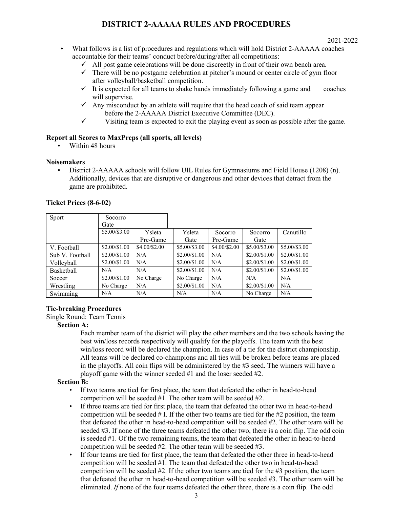- What follows is a list of procedures and regulations which will hold District 2-AAAAA coaches accountable for their teams' conduct before/during/after all competitions:
	- $\checkmark$  All post game celebrations will be done discreetly in front of their own bench area.
	- $\checkmark$  There will be no postgame celebration at pitcher's mound or center circle of gym floor after volleyball/basketball competition.
	- $\checkmark$  It is expected for all teams to shake hands immediately following a game and coaches will supervise.
	- $\checkmark$  Any misconduct by an athlete will require that the head coach of said team appear before the 2-AAAAA District Executive Committee (DEC).
	- $\checkmark$  Visiting team is expected to exit the playing event as soon as possible after the game.

## **Report all Scores to MaxPreps (all sports, all levels)**

• Within 48 hours

### **Noisemakers**

• District 2-AAAAA schools will follow UIL Rules for Gymnasiums and Field House (1208) (n). Additionally, devices that are disruptive or dangerous and other devices that detract from the game are prohibited.

| Ticket Prices (8-6-02) |  |
|------------------------|--|
|------------------------|--|

| Sport           | Socorro<br>Gate |               |               |               |               |               |
|-----------------|-----------------|---------------|---------------|---------------|---------------|---------------|
|                 | \$5.00/\$3.00   | Ysleta        | Ysleta        | Socorro       | Socorro       | Canutillo     |
|                 |                 | Pre-Game      | Gate          | Pre-Game      | Gate          |               |
| V. Football     | \$2.00/\$1.00   | \$4.00/\$2.00 | \$5.00/\$3.00 | \$4.00/\$2.00 | \$5.00/\$3.00 | \$5.00/\$3.00 |
| Sub V. Football | \$2.00/\$1.00   | N/A           | \$2.00/\$1.00 | N/A           | \$2.00/\$1.00 | \$2.00/\$1.00 |
| Vollevball      | \$2.00/\$1.00   | N/A           | \$2.00/\$1.00 | N/A           | \$2.00/\$1.00 | \$2.00/\$1.00 |
| Basketball      | N/A             | N/A           | \$2.00/\$1.00 | N/A           | \$2.00/\$1.00 | \$2.00/\$1.00 |
| Soccer          | \$2.00/\$1.00   | No Charge     | No Charge     | N/A           | N/A           | N/A           |
| Wrestling       | No Charge       | N/A           | \$2.00/\$1.00 | N/A           | \$2.00/\$1.00 | N/A           |
| Swimming        | N/A             | N/A           | N/A           | N/A           | No Charge     | N/A           |

# **Tie-breaking Procedures**

Single Round: Team Tennis

#### **Section A:**

Each member team of the district will play the other members and the two schools having the best win/loss records respectively will qualify for the playoffs. The team with the best win/loss record will be declared the champion. In case of a tie for the district championship. All teams will be declared co-champions and all ties will be broken before teams are placed in the playoffs. All coin flips will be administered by the #3 seed. The winners will have a playoff game with the winner seeded #1 and the loser seeded #2.

### **Section B:**

- If two teams are tied for first place, the team that defeated the other in head-to-head competition will be seeded #1. The other team will be seeded #2.
- If three teams are tied for first place, the team that defeated the other two in head-to-head competition will be seeded  $#$  I. If the other two teams are tied for the  $#2$  position, the team that defeated the other in head-to-head competition will be seeded #2. The other team will be seeded #3. If none of the three teams defeated the other two, there is a coin flip. The odd coin is seeded #1. Of the two remaining teams, the team that defeated the other in head-to-head competition will be seeded #2. The other team will be seeded #3.
- If four teams are tied for first place, the team that defeated the other three in head-to-head competition will be seeded #1. The team that defeated the other two in head-to-head competition will be seeded  $#2$ . If the other two teams are tied for the  $#3$  position, the team that defeated the other in head-to-head competition will be seeded #3. The other team will be eliminated. *If* none of the four teams defeated the other three, there is a coin flip. The odd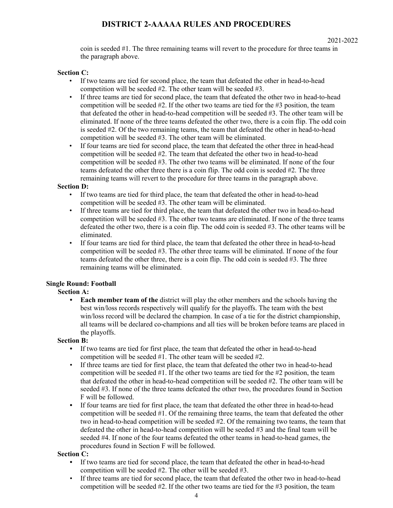coin is seeded #1. The three remaining teams will revert to the procedure for three teams in the paragraph above.

### **Section C:**

- If two teams are tied for second place, the team that defeated the other in head-to-head competition will be seeded #2. The other team will be seeded #3.
- If three teams are tied for second place, the team that defeated the other two in head-to-head competition will be seeded  $#2$ . If the other two teams are tied for the  $#3$  position, the team that defeated the other in head-to-head competition will be seeded #3. The other team will be eliminated. If none of the three teams defeated the other two, there is a coin flip. The odd coin is seeded #2. Of the two remaining teams, the team that defeated the other in head-to-head competition will be seeded #3. The other team will be eliminated.
- If four teams are tied for second place, the team that defeated the other three in head-head competition will be seeded #2. The team that defeated the other two in head-to-head competition will be seeded #3. The other two teams will be eliminated. If none of the four teams defeated the other three there is a coin flip. The odd coin is seeded #2. The three remaining teams will revert to the procedure for three teams in the paragraph above.

### **Section D:**

- If two teams are tied for third place, the team that defeated the other in head-to-head competition will be seeded #3. The other team will be eliminated.
- If three teams are tied for third place, the team that defeated the other two in head-to-head competition will be seeded #3. The other two teams are eliminated. If none of the three teams defeated the other two, there is a coin flip. The odd coin is seeded #3. The other teams will be eliminated.
- If four teams are tied for third place, the team that defeated the other three in head-to-head competition will be seeded #3. The other three teams will be eliminated. If none of the four teams defeated the other three, there is a coin flip. The odd coin is seeded #3. The three remaining teams will be eliminated.

### **Single Round: Football**

### **Section A:**

**• Each member team of the** district will play the other members and the schools having the best win/loss records respectively will qualify for the playoffs. The team with the best win/loss record will be declared the champion. In case of a tie for the district championship, all teams will be declared co-champions and all ties will be broken before teams are placed in the playoffs.

### **Section B:**

- **•** If two teams are tied for first place, the team that defeated the other in head-to-head competition will be seeded #1. The other team will be seeded #2.
- If three teams are tied for first place, the team that defeated the other two in head-to-head competition will be seeded  $#1$ . If the other two teams are tied for the  $#2$  position, the team that defeated the other in head-to-head competition will be seeded #2. The other team will be seeded #3. If none of the three teams defeated the other two, the procedures found in Section F will be followed.
- **•** If four teams are tied for first place, the team that defeated the other three in head-to-head competition will be seeded #1. Of the remaining three teams, the team that defeated the other two in head-to-head competition will be seeded #2. Of the remaining two teams, the team that defeated the other in head-to-head competition will be seeded #3 and the final team will be seeded #4. If none of the four teams defeated the other teams in head-to-head games, the procedures found in Section F will be followed.

### **Section C:**

- If two teams are tied for second place, the team that defeated the other in head-to-head competition will be seeded #2. The other will be seeded #3.
- If three teams are tied for second place, the team that defeated the other two in head-to-head competition will be seeded #2. If the other two teams are tied for the #3 position, the team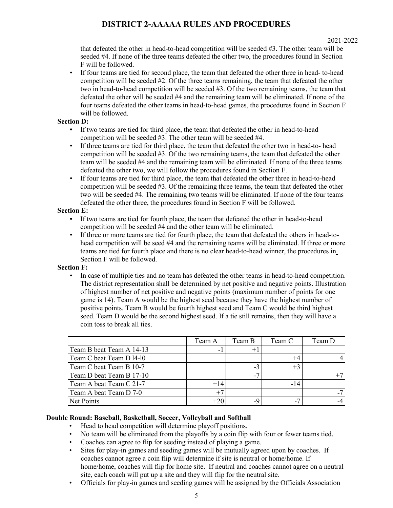that defeated the other in head-to-head competition will be seeded #3. The other team will be seeded #4. If none of the three teams defeated the other two, the procedures found In Section F will be followed.

• If four teams are tied for second place, the team that defeated the other three in head- to-head competition will be seeded #2. Of the three teams remaining, the team that defeated the other two in head-to-head competition will be seeded #3. Of the two remaining teams, the team that defeated the other will be seeded #4 and the remaining team will be eliminated. If none of the four teams defeated the other teams in head-to-head games, the procedures found in Section F will be followed.

### **Section D:**

- **•** If two teams are tied for third place, the team that defeated the other in head-to-head competition will be seeded #3. The other team will be seeded #4.
- If three teams are tied for third place, the team that defeated the other two in head-to- head competition will be seeded #3. Of the two remaining teams, the team that defeated the other team will be seeded #4 and the remaining team will be eliminated. If none of the three teams defeated the other two, we will follow the procedures found in Section F.
- If four teams are tied for third place, the team that defeated the other three in head-to-head competition will be seeded #3. Of the remaining three teams, the team that defeated the other two will be seeded #4. The remaining two teams will be eliminated. If none of the four teams defeated the other three, the procedures found in Section F will be followed.

### **Section E:**

- **•** If two teams are tied for fourth place, the team that defeated the other in head-to-head competition will be seeded #4 and the other team will be eliminated.
- If three or more teams are tied for fourth place, the team that defeated the others in head-tohead competition will be seed #4 and the remaining teams will be eliminated. If three or more teams are tied for fourth place and there is no clear head-to-head winner, the procedures in Section F will be followed.

### **Section F:**

• In case of multiple ties and no team has defeated the other teams in head-to-head competition. The district representation shall be determined by net positive and negative points. Illustration of highest number of net positive and negative points (maximum number of points for one game is 14). Team A would be the highest seed because they have the highest number of positive points. Team B would be fourth highest seed and Team C would be third highest seed. Team D would be the second highest seed. If a tie still remains, then they will have a coin toss to break all ties.

|                          | Team A                   | Team B | Team C | Team D |
|--------------------------|--------------------------|--------|--------|--------|
| Team B beat Team A 14-13 | $\overline{\phantom{a}}$ |        |        |        |
| Team C beat Team D 14-10 |                          |        |        |        |
| Team C beat Team B 10-7  |                          | -1     |        |        |
| Team D beat Team B 17-10 |                          |        |        |        |
| Team A beat Team C 21-7  | $+14$                    |        |        |        |
| Team A beat Team D 7-0   |                          |        |        |        |
| Net Points               | +20                      |        |        |        |

### **Double Round: Baseball, Basketball, Soccer, Volleyball and Softball**

- Head to head competition will determine playoff positions.
- No team will be eliminated from the playoffs by a coin flip with four or fewer teams tied.
- Coaches can agree to flip for seeding instead of playing a game.<br>• Sites for play-in games and seeding games will be mutually agree
- Sites for play-in games and seeding games will be mutually agreed upon by coaches. If coaches cannot agree a coin flip will determine if site is neutral or home/home. If home/home, coaches will flip for home site. If neutral and coaches cannot agree on a neutral site, each coach will put up a site and they will flip for the neutral site.
- Officials for play-in games and seeding games will be assigned by the Officials Association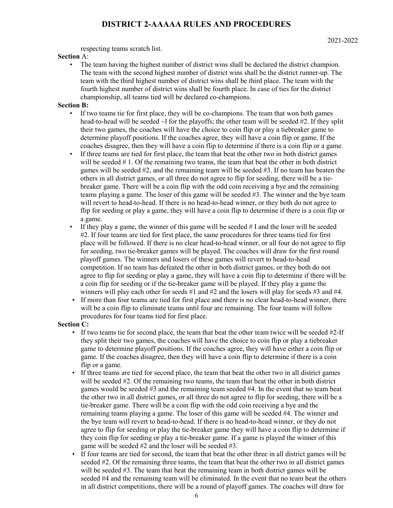respecting teams scratch list.

### **Section** A:

• The team having the highest number of district wins shall be declared the district champion. The team with the second highest number of district wins shall be the district runner-up. The team with the third highest number of district wins shall be third place. The team with the fourth highest number of district wins shall be fourth place. In case of ties for the district championship, all teams tied will be declared co-champions.

### **Section B:**

- If two teams tie for first place, they will be co-champions. The team that won both games head-to-head will be seeded  $\sim$  for the playoffs; the other team will be seeded #2. If they split their two games, the coaches will have the choice to coin flip or play a tiebreaker game to determine playoff positions. If the coaches agree, they will have a coin flip or game. If the coaches disagree, then they will have a coin flip to determine if there is a coin flip or a game.
- If three teams are tied for first place, the team that beat the other two in both district games will be seeded # 1. Of the remaining two teams, the team that beat the other in both district games will be seeded #2, and the remaining team will be seeded #3. If no team has beaten the others in all district games, or all three do not agree to flip for seeding, there will be a tiebreaker game. There will be a coin flip with the odd coin receiving a bye and the remaining teams playing a game. The loser of this game will be seeded #3. The winner and the bye team will revert to head-to-head. If there is no head-to-head winner, or they both do not agree to flip for seeding or play a game, they will have a coin flip to determine if there is a coin flip or a game.
- If they play a game, the winner of this game will be seeded  $# I$  and the loser will be seeded #2. If four teams are tied for first place, the same procedures for three teams tied for first place will be followed. If there is no clear head-to-head winner, or all four do not agree to flip for seeding, two tie-breaker games will be played. The coaches will draw for the first round playoff games. The winners and losers of these games will revert to head-to-head competition. If no team has defeated the other in both district games, or they both do not agree to flip for seeding or play a game, they will have a coin flip to determine if there will be a coin flip for seeding or if the tie-breaker game will be played. If they play a game the winners will play each other for seeds #1 and #2 and the losers will play for seeds #3 and #4.
- If more than four teams are tied for first place and there is no clear head-to-head winner, there will be a coin flip to eliminate teams until four are remaining. The four teams will follow procedures for four teams tied for first place.

### **Section C:**

- If two teams tie for second place, the team that beat the other team twice will be seeded #2-If they split their two games, the coaches will have the choice to coin flip or play a tiebreaker game to determine playoff positions. If the coaches agree, they will have either a coin flip or game. If the coaches disagree, then they will have a coin flip to determine if there is a coin flip or a game.
- If three teams are tied for second place, the team that beat the other two in all district games will be seeded #2. Of the remaining two teams, the team that beat the other in both district games would be seeded #3 and the remaining team seeded #4. In the event that no team beat the other two in all district games, or all three do not agree to flip for seeding, there will be a tie-breaker game. There will be a coin flip with the odd coin receiving a bye and the remaining teams playing a game. The loser of this game will be seeded #4. The winner and the bye team will revert to head-to-head. If there is no head-to-head winner, or they do not agree to flip for seeding or play the tie-breaker game they will have a coin flip to determine if they coin flip for seeding or play a tie-breaker game. If a game is played the winner of this game will be seeded #2 and the loser will be seeded #3.
- If four teams are tied for second, the team that beat the other three in all district games will be seeded #2. Of the remaining three teams, the team that beat the other two in all district games will be seeded #3. The team that beat the remaining team in both district games will be seeded #4 and the remaining team will be eliminated. In the event that no team beat the others in all district competitions, there will be a round of playoff games. The coaches will draw for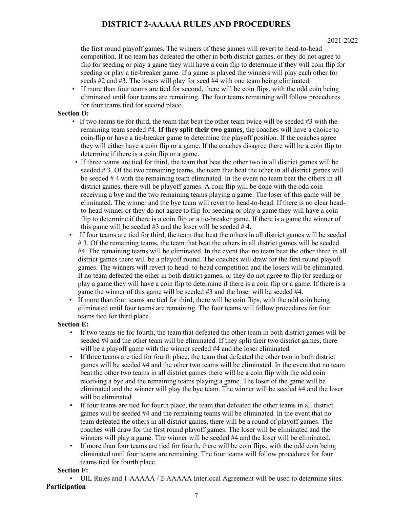the first round playoff games. The winners of these games will revert to head-to-head competition. If no team has defeated the other in both district games, or they do not agree to flip for seeding or play a game they will have a coin flip to determine if they will coin flip for seeding or play a tie-breaker game. If a game is played the winners will play each other for seeds #2 and #3. The losers will play for seed #4 with one team being eliminated.

• If more than four teams are tied for second, there will be coin flips, with the odd coin being eliminated until four teams are remaining. The four teams remaining will follow procedures for four teams tied for second place.

## **Section D:**

- If two teams tie for third, the team that beat the other team twice will be seeded  $#3$  with the remaining team seeded #4. **If they split their two games**, the coaches will have a choice to coin-flip or have a tie-breaker game to determine the playoff position. If the coaches agree they will either have a coin flip or a game. If the coaches disagree there will be a coin flip to determine if there is a coin flip or a game.
- If three teams are tied for third, the team that beat the other two in all district games will be seeded # 3. Of the two remaining teams, the team that beat the other in all district games will be seeded # 4 with the remaining team eliminated. In the event no team beat the others in all district games, there will be playoff games. A coin flip will be done with the odd coin receiving a bye and the two remaining teams playing a game. The loser of this game will be eliminated. The winner and the bye team will revert to head-to-head. If there is no clear headto-head winner or they do not agree to flip for seeding or play a game they will have a coin flip to determine if there is a coin flip or a tie-breaker game. If there is a game the winner of this game will be seeded  $#3$  and the loser will be seeded  $#4$ .
- If four teams are tied for third, the team that beat the others in all district games will be seeded #3. Of the remaining teams, the team that beat the others in all district games will be seeded #4. The remaining teams will be eliminated. In the event that no team beat the other three in all district games there will be a playoff round. The coaches will draw for the first round playoff games. The winners will revert to head- to-head competition and the losers will be eliminated. If no team defeated the other in both district games, or they do not agree to flip for seeding or play a game they will have a coin flip to determine if there is a coin flip or a game. If there is a game the winner of this game will be seeded #3 and the loser will be seeded #4.
- If more than four teams are tied for third, there will be coin flips, with the odd coin being eliminated until four teams are remaining. The four teams will follow procedures for four teams tied for third place.

### **Section E:**

- If two teams tie for fourth, the team that defeated the other team in both district games will be seeded #4 and the other team will be eliminated. If they split their two district games, there will be a playoff game with the winner seeded #4 and the loser eliminated.
- If three teams are tied for fourth place, the team that defeated the other two in both district games will be seeded #4 and the other two teams will be eliminated. In the event that no team beat the other two teams in all district games there will be a coin flip with the odd coin receiving a bye and the remaining teams playing a game. The loser of the game will be eliminated and the winner will play the bye team. The winner will be seeded #4 and the loser will be eliminated.
- If four teams are tied for fourth place, the team that defeated the other teams in all district games will be seeded #4 and the remaining teams will be eliminated. In the event that no team defeated the others in all district games, there will be a round of playoff games. The coaches will draw for the first round playoff games. The loser will be eliminated and the winners will play a game. The winner will be seeded #4 and the loser will be eliminated.
- If more than four teams are tied for fourth, there will be coin flips, with the odd coin being eliminated until four teams are remaining. The four teams will follow procedures for four teams tied for fourth place.

### **Section F:**

• UIL Rules and 1-AAAAA / 2-AAAAA Interlocal Agreement will be used to determine sites. **Participation**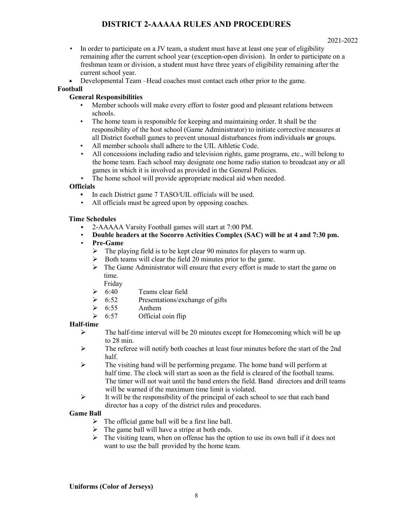#### 2021-2022

- In order to participate on a JV team, a student must have at least one year of eligibility remaining after the current school year (exception-open division). In order to participate on a freshman team or division, a student must have three years of eligibility remaining after the current school year.
- Developmental Team –Head coaches must contact each other prior to the game.

### **Football**

# **General Responsibilities**

- Member schools will make every effort to foster good and pleasant relations between schools.
- The home team is responsible for keeping and maintaining order. It shall be the responsibility of the host school (Game Administrator) to initiate corrective measures at all District football games to prevent unusual disturbances from individuals **or** groups.
- All member schools shall adhere to the UIL Athletic Code.
- All concessions including radio and television rights, game programs, etc., will belong to the home team. Each school may designate one home radio station to broadcast any or all games in which it is involved as provided in the General Policies.
- The home school will provide appropriate medical aid when needed.

## **Officials**

- In each District game 7 TASO/UIL officials will be used.
- All officials must be agreed upon by opposing coaches.

### **Time Schedules**

- 2-AAAAA Varsity Football games will start at 7:00 PM.
- **Double headers at the Socorro Activities Complex (SAC) will be at 4 and 7:30 pm.**
- **Pre-Game**
	- $\triangleright$  The playing field is to be kept clear 90 minutes for players to warm up.
	- Both teams will clear the field 20 minutes prior to the game.
	- $\triangleright$  The Game Administrator will ensure that every effort is made to start the game on time.

Friday

- $\geqslant$  6:40 Teams clear field
- $\geq 6:52$  Presentations/exchange of gifts
- $\geqslant$  6:55 Anthem
- $\geq 6:57$  Official coin flip

### **Half-time**

- $\triangleright$  The half-time interval will be 20 minutes except for Homecoming which will be up to 28 min.
- $\triangleright$  The referee will notify both coaches at least four minutes before the start of the 2nd half.
- $\triangleright$  The visiting band will be performing pregame. The home band will perform at half time. The clock will start as soon as the field is cleared of the football teams. The timer will not wait until the band enters the field. Band directors and drill teams will be warned if the maximum time limit is violated.
- $\triangleright$  It will be the responsibility of the principal of each school to see that each band director has a copy of the district rules and procedures.

### **Game Ball**

- $\triangleright$  The official game ball will be a first line ball.
- $\triangleright$  The game ball will have a stripe at both ends.
- $\triangleright$  The visiting team, when on offense has the option to use its own ball if it does not want to use the ball provided by the home team.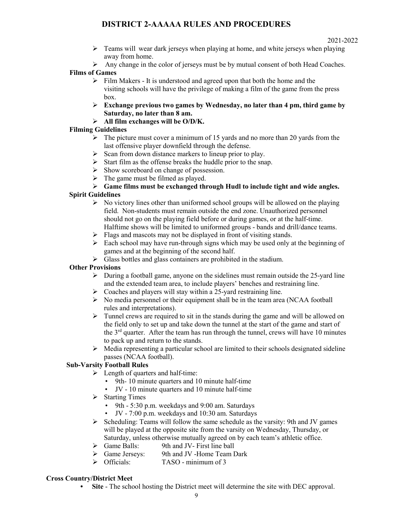$\triangleright$  Teams will wear dark jerseys when playing at home, and white jerseys when playing away from home.

Any change in the color of jerseys must be by mutual consent of both Head Coaches.

# **Films of Games**

- $\triangleright$  Film Makers It is understood and agreed upon that both the home and the visiting schools will have the privilege of making a film of the game from the press box.
- **Exchange previous two games by Wednesday, no later than 4 pm, third game by Saturday, no later than 8 am.**

# **All film exchanges will be O/D/K.**

# **Filming Guidelines**

- $\triangleright$  The picture must cover a minimum of 15 yards and no more than 20 yards from the last offensive player downfield through the defense.
- $\triangleright$  Scan from down distance markers to lineup prior to play.
- $\triangleright$  Start film as the offense breaks the huddle prior to the snap.
- $\triangleright$  Show scoreboard on change of possession.
- $\triangleright$  The game must be filmed as played.

# **Game films must be exchanged through Hudl to include tight and wide angles.**

# **Spirit Guidelines**

- $\triangleright$  No victory lines other than uniformed school groups will be allowed on the playing field. Non-students must remain outside the end zone. Unauthorized personnel should not go on the playing field before or during games, or at the half-time. Halftime shows will be limited to uniformed groups - bands and drill/dance teams.
- $\triangleright$  Flags and mascots may not be displayed in front of visiting stands.
- $\triangleright$  Each school may have run-through signs which may be used only at the beginning of games and at the beginning of the second half.
- $\triangleright$  Glass bottles and glass containers are prohibited in the stadium.

# **Other Provisions**

- $\triangleright$  During a football game, anyone on the sidelines must remain outside the 25-yard line and the extended team area, to include players' benches and restraining line.
- $\triangleright$  Coaches and players will stay within a 25-yard restraining line.
- $\triangleright$  No media personnel or their equipment shall be in the team area (NCAA football rules and interpretations).
- $\triangleright$  Tunnel crews are required to sit in the stands during the game and will be allowed on the field only to set up and take down the tunnel at the start of the game and start of the  $3<sup>rd</sup>$  quarter. After the team has run through the tunnel, crews will have 10 minutes to pack up and return to the stands.
- $\triangleright$  Media representing a particular school are limited to their schools designated sideline passes (NCAA football).

# **Sub-Varsity Football Rules**

- $\triangleright$  Length of quarters and half-time:
	- 9th10 minute quarters and 10 minute half-time
	- JV 10 minute quarters and 10 minute half-time
- $\triangleright$  Starting Times
	- 9th 5:30 p.m. weekdays and 9:00 am. Saturdays
	- JV 7:00 p.m. weekdays and 10:30 am. Saturdays
- $\triangleright$  Scheduling: Teams will follow the same schedule as the varsity: 9th and JV games will be played at the opposite site from the varsity on Wednesday, Thursday, or Saturday, unless otherwise mutually agreed on by each team's athletic office.
- $\triangleright$  Game Balls: 9th and JV- First line ball
- Game Jerseys: 9th and JV -Home Team Dark
- $\triangleright$  Officials: TASO minimum of 3

# **Cross Country/District Meet**

**• Site** - The school hosting the District meet will determine the site with DEC approval.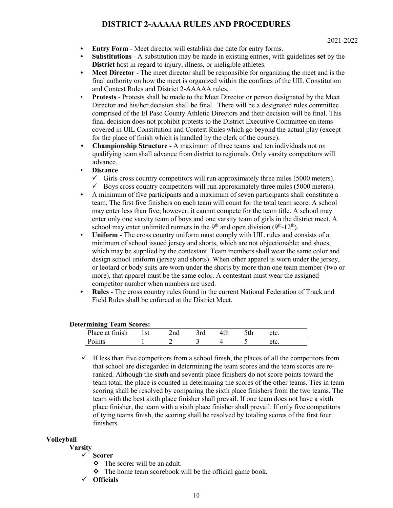- **Entry Form**  Meet director will establish due date for entry forms.
- **Substitutions**  A substitution may be made in existing entries, with guidelines **set** by the **District** host in regard to injury, illness, or ineligible athletes.
- **Meet Director**  The meet director shall be responsible for organizing the meet and is the final authority on how the meet is organized within the confines of the UIL Constitution and Contest Rules and District 2-AAAAA rules.
- **Protests** Protests shall be made to the Meet Director or person designated by the Meet Director and his/her decision shall be final. There will be a designated rules committee comprised of the El Paso County Athletic Directors and their decision will be final. This final decision does not prohibit protests to the District Executive Committee on items covered in UIL Constitution and Contest Rules which go beyond the actual play (except for the place of finish which is handled by the clerk of the course).
- **Championship Structure**  A maximum of three teams and ten individuals not on qualifying team shall advance from district to regionals. Only varsity competitors will advance.
- **Distance**
	- $\checkmark$  Girls cross country competitors will run approximately three miles (5000 meters).
	- $\checkmark$  Boys cross country competitors will run approximately three miles (5000 meters).
- A minimum of five participants and a maximum of seven participants shall constitute a team. The first five finishers on each team will count for the total team score. A school may enter less than five; however, it cannot compete for the team title. A school may enter only one varsity team of boys and one varsity team of girls in the district meet. A school may enter unlimited runners in the  $9<sup>th</sup>$  and open division ( $9<sup>th</sup>$ -12<sup>th</sup>).
- **Uniform** The cross country uniform must comply with UIL rules and consists of a minimum of school issued jersey and shorts, which are not objectionable; and shoes, which may be supplied by the contestant. Team members shall wear the same color and design school uniform (jersey and shorts). When other apparel is worn under the jersey, or leotard or body suits are worn under the shorts by more than one team member (two or more), that apparel must be the same color. A contestant must wear the assigned competitor number when numbers are used.
- **Rules**  The cross country rules found in the current National Federation of Track and Field Rules shall be enforced at the District Meet.

### **Determining Team Scores:**

| $+1111$<br>Place. | $\sim$ | $-$<br>'i u | •u1 | . | w. |  |
|-------------------|--------|-------------|-----|---|----|--|
|                   |        | -           |     |   |    |  |
|                   |        |             |     |   |    |  |

 $\checkmark$  If less than five competitors from a school finish, the places of all the competitors from that school are disregarded in determining the team scores and the team scores are reranked. Although the sixth and seventh place finishers do not score points toward the team total, the place is counted in determining the scores of the other teams. Ties in team scoring shall be resolved by comparing the sixth place finishers from the two teams. The team with the best sixth place finisher shall prevail. If one team does not have a sixth place finisher, the team with a sixth place finisher shall prevail. If only five competitors of tying teams finish, the scoring shall be resolved by totaling scores of the first four finishers.

### **Volleyball**

**Varsity**

### **Scorer**

- $\div$  The scorer will be an adult.
- $\cdot \cdot$  The home team scorebook will be the official game book.
- **Officials**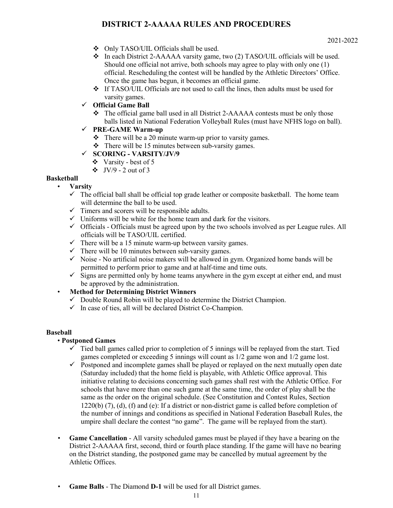- Only TASO/UIL Officials shall be used.
- In each District 2-AAAAA varsity game, two (2) TASO/UIL officials will be used. Should one official not arrive, both schools may agree to play with only one (1) official. Rescheduling the contest will be handled by the Athletic Directors' Office. Once the game has begun, it becomes an official game.
- $\div$  If TASO/UIL Officials are not used to call the lines, then adults must be used for varsity games.

## **Official Game Ball**

 The official game ball used in all District 2-AAAAA contests must be only those balls listed in National Federation Volleyball Rules (must have NFHS logo on ball).

# **PRE-GAME Warm-up**

- $\cdot \cdot$  There will be a 20 minute warm-up prior to varsity games.
- $\div$  There will be 15 minutes between sub-varsity games.

# **SCORING - VARSITY/JV/9**

- Varsity best of 5
- $\div$  JV/9 2 out of 3

## **Basketball**

## • **Varsity**

- $\checkmark$  The official ball shall be official top grade leather or composite basketball. The home team will determine the ball to be used.
- $\checkmark$  Timers and scorers will be responsible adults.
- $\checkmark$  Uniforms will be white for the home team and dark for the visitors.
- $\checkmark$  Officials Officials must be agreed upon by the two schools involved as per League rules. All officials will be TASO/UIL certified.
- $\checkmark$  There will be a 15 minute warm-up between varsity games.
- $\checkmark$  There will be 10 minutes between sub-varsity games.
- $\checkmark$  Noise No artificial noise makers will be allowed in gym. Organized home bands will be permitted to perform prior to game and at half-time and time outs.
- $\checkmark$  Signs are permitted only by home teams anywhere in the gym except at either end, and must be approved by the administration.
- **Method for Determining District Winners**
	- $\checkmark$  Double Round Robin will be played to determine the District Champion.
	- $\checkmark$  In case of ties, all will be declared District Co-Champion.

### **Baseball**

# • **Postponed Games**

- $\checkmark$  Tied ball games called prior to completion of 5 innings will be replayed from the start. Tied games completed or exceeding 5 innings will count as 1/2 game won and 1/2 game lost.
- $\checkmark$  Postponed and incomplete games shall be played or replayed on the next mutually open date (Saturday included) that the home field is playable, with Athletic Office approval. This initiative relating to decisions concerning such games shall rest with the Athletic Office. For schools that have more than one such game at the same time, the order of play shall be the same as the order on the original schedule. (See Constitution and Contest Rules, Section  $1220(b)$  (7), (d), (f) and (e): If a district or non-district game is called before completion of the number of innings and conditions as specified in National Federation Baseball Rules, the umpire shall declare the contest "no game". The game will be replayed from the start).
- **Game Cancellation** All varsity scheduled games must be played if they have a bearing on the District 2-AAAAA first, second, third or fourth place standing. If the game will have no bearing on the District standing, the postponed game may be cancelled by mutual agreement by the Athletic Offices.
- **Game Balls** The Diamond **D-1** will be used for all District games.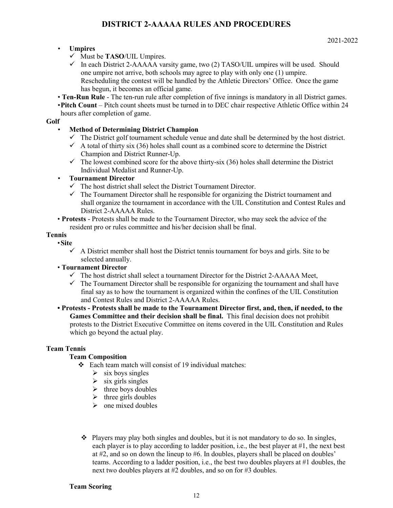# • **Umpires**

- Must be **TASO**/UIL Umpires.
- $\checkmark$  In each District 2-AAAAA varsity game, two (2) TASO/UIL umpires will be used. Should one umpire not arrive, both schools may agree to play with only one (1) umpire. Rescheduling the contest will be handled by the Athletic Directors' Office. Once the game has begun, it becomes an official game.
- **Ten-Run Rule** The ten-run rule after completion of five innings is mandatory in all District games.

•**Pitch Count** – Pitch count sheets must be turned in to DEC chair respective Athletic Office within 24 hours after completion of game.

## **Golf**

# • **Method of Determining District Champion**

- $\checkmark$  The District golf tournament schedule venue and date shall be determined by the host district.
- $\checkmark$  A total of thirty six (36) holes shall count as a combined score to determine the District Champion and District Runner-Up.
- $\checkmark$  The lowest combined score for the above thirty-six (36) holes shall determine the District Individual Medalist and Runner-Up.

## • **Tournament Director**

- $\checkmark$  The host district shall select the District Tournament Director.
- $\checkmark$  The Tournament Director shall he responsible for organizing the District tournament and shall organize the tournament in accordance with the UIL Constitution and Contest Rules and District 2-AAAAA Rules.
- **Protests** Protests shall be made to the Tournament Director, who may seek the advice of the resident pro or rules committee and his/her decision shall be final.

# **Tennis**

### • **Site**

 $\checkmark$  A District member shall host the District tennis tournament for boys and girls. Site to be selected annually.

# • **Tournament Director**

- $\checkmark$  The host district shall select a tournament Director for the District 2-AAAAA Meet,
- $\checkmark$  The Tournament Director shall be responsible for organizing the tournament and shall have final say as to how the tournament is organized within the confines of the UIL Constitution and Contest Rules and District 2-AAAAA Rules.
- **Protests Protests shall be made to the Tournament Director first, and, then, if needed, to the Games Committee and their decision shall be final.** This final decision does not prohibit protests to the District Executive Committee on items covered in the UIL Constitution and Rules which go beyond the actual play.

# **Team Tennis**

# **Team Composition**

- $\div$  Each team match will consist of 19 individual matches:
	- $\triangleright$  six boys singles
	- $\triangleright$  six girls singles
	- $\triangleright$  three boys doubles
	- $\triangleright$  three girls doubles
	- $\triangleright$  one mixed doubles
- $\bullet$  Players may play both singles and doubles, but it is not mandatory to do so. In singles, each player is to play according to ladder position, i.e., the best player at #1, the next best at #2, and so on down the lineup to #6. In doubles, players shall be placed on doubles' teams. According to a ladder position, i.e., the best two doubles players at #1 doubles, the next two doubles players at #2 doubles, and so on for #3 doubles.

## **Team Scoring**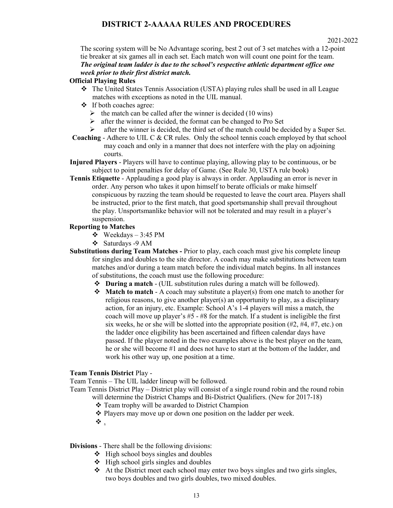#### 2021-2022

The scoring system will be No Advantage scoring, best 2 out of 3 set matches with a 12-point tie breaker at six games all in each set. Each match won will count one point for the team. *The original team ladder is due to the school's respective athletic department office one week prior to their first district match.*

#### **Official Playing Rules**

- $\bullet$  The United States Tennis Association (USTA) playing rules shall be used in all League matches with exceptions as noted in the UIL manual.
- If both coaches agree:
	- $\triangleright$  the match can be called after the winner is decided (10 wins)
	- $\triangleright$  after the winner is decided, the format can be changed to Pro Set
	- $\triangleright$  after the winner is decided, the third set of the match could be decided by a Super Set.
- **Coaching** Adhere to UIL C & CR rules. Only the school tennis coach employed by that school may coach and only in a manner that does not interfere with the play on adjoining courts.
- **Injured Players** Players will have to continue playing, allowing play to be continuous, or be subject to point penalties for delay of Game. (See Rule 30, USTA rule book)
- **Tennis Etiquette** Applauding a good play is always in order. Applauding an error is never in order. Any person who takes it upon himself to berate officials or make himself conspicuous by razzing the team should be requested to leave the court area. Players shall be instructed, prior to the first match, that good sportsmanship shall prevail throughout the play. Unsportsmanlike behavior will not be tolerated and may result in a player's suspension.

# **Reporting to Matches**

- $\div$  Weekdays 3:45 PM
- Saturdays -9 AM
- **Substitutions during Team Matches** Prior to play, each coach must give his complete lineup for singles and doubles to the site director. A coach may make substitutions between team matches and/or during a team match before the individual match begins. In all instances of substitutions, the coach must use the following procedure:
	- **During a match** (UIL substitution rules during a match will be followed).
	- **Match to match** A coach may substitute a player(s) from one match to another for religious reasons, to give another player(s) an opportunity to play, as a disciplinary action, for an injury, etc. Example: School A's 1-4 players will miss a match, the coach will move up player's #5 - #8 for the match. If a student is ineligible the first six weeks, he or she will be slotted into the appropriate position (#2, #4, #7, etc.) on the ladder once eligibility has been ascertained and fifteen calendar days have passed. If the player noted in the two examples above is the best player on the team, he or she will become #1 and does not have to start at the bottom of the ladder, and work his other way up, one position at a time.

### **Team Tennis District** Play -

Team Tennis – The UIL ladder lineup will be followed.

- Team Tennis District Play District play will consist of a single round robin and the round robin will determine the District Champs and Bi-District Qualifiers. (New for 2017-18)
	- Team trophy will be awarded to District Champion
	- Players may move up or down one position on the ladder per week.
	- $\ddot{\bullet}$  .

### **Divisions** - There shall be the following divisions:

- $\div$  High school boys singles and doubles
- $\div$  High school girls singles and doubles
- $\triangleleft$  At the District meet each school may enter two boys singles and two girls singles, two boys doubles and two girls doubles, two mixed doubles.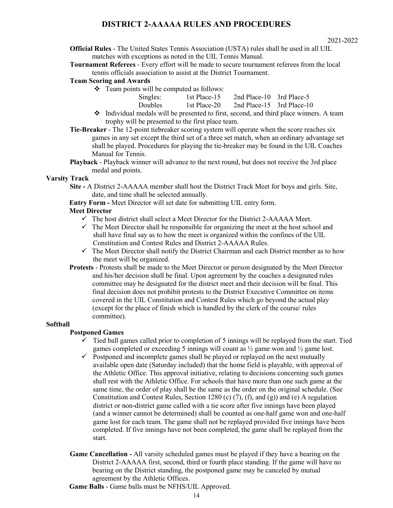**Official Rules** - The United States Tennis Association (USTA) rules shall be used in all UIL matches with exceptions as noted in the UIL Tennis Manual.

**Tournament Referees** - Every effort will be made to secure tournament referees from the local tennis officials association to assist at the District Tournament.

### **Team Scoring and Awards**

 $\div$  Team points will be computed as follows:

| Singles: | 1st Place-15 | 2nd Place-10 $3rd$ Place-5     |  |
|----------|--------------|--------------------------------|--|
| Doubles  | 1st Place-20 | 2nd Place-15 $\,$ 3rd Place-10 |  |

- $\div$  Individual medals will be presented to first, second, and third place winners. A team trophy will be presented to the first place team.
- **Tie-Breaker** The 12-point tiebreaker scoring system will operate when the score reaches six games in any set except the third set of a three set match, when an ordinary advantage set shall be played. Procedures for playing the tie-breaker may be found in the UIL Coaches Manual for Tennis.
- **Playback**  Playback winner will advance to the next round, but does not receive the 3rd place medal and points.

### **Varsity Track**

**Site -** A District 2-AAAAA member shall host the District Track Meet for boys and girls. Site, date, and time shall be selected annually.

**Entry Form -** Meet Director will set date for submitting UIL entry form.

### **Meet Director**

- $\checkmark$  The host district shall select a Meet Director for the District 2-AAAAA Meet.
- $\checkmark$  The Meet Director shall be responsible for organizing the meet at the host school and shall have final say as to how the meet is organized within the confines of the UIL Constitution and Contest Rules and District 2-AAAAA Rules.
- $\checkmark$  The Meet Director shall notify the District Chairman and each District member as to how the meet will be organized.
- **Protests** Protests shall be made to the Meet Director or person designated by the Meet Director and his/her decision shall be final. Upon agreement by the coaches a designated rules committee may be designated for the district meet and their decision will be final. This final decision does not prohibit protests to the District Executive Committee on items covered in the UIL Constitution and Contest Rules which go beyond the actual play (except for the place of finish which is handled by the clerk of the course/ rules committee).

### **Softball**

### **Postponed Games**

- $\checkmark$  Tied ball games called prior to completion of 5 innings will be replayed from the start. Tied games completed or exceeding 5 innings will count as ½ game won and ½ game lost.
- $\checkmark$  Postponed and incomplete games shall be played or replayed on the next mutually available open date (Saturday included) that the home field is playable, with approval of the Athletic Office. This approval initiative, relating to decisions concerning such games shall rest with the Athletic Office. For schools that have more than one such game at the same time, the order of play shall be the same as the order on the original schedule. (See Constitution and Contest Rules, Section 1280 (c)  $(7)$ ,  $(f)$ , and  $(g)$ ) and  $(e)$  A regulation district or non-district game called with a tie score after five innings have been played (and a winner cannot be determined) shall be counted as one-half game won and one-half game lost for each team. The game shall not be replayed provided five innings have been completed. If five innings have not been completed, the game shall be replayed from the start.
- **Game Cancellation** All varsity scheduled games must be played if they have a bearing on the District 2-AAAAA first, second, third or fourth place standing. If the game will have no bearing on the District standing, the postponed game may be canceled by mutual agreement by the Athletic Offices.
- **Game Balls** Game balls must be NFHS/UIL Approved.